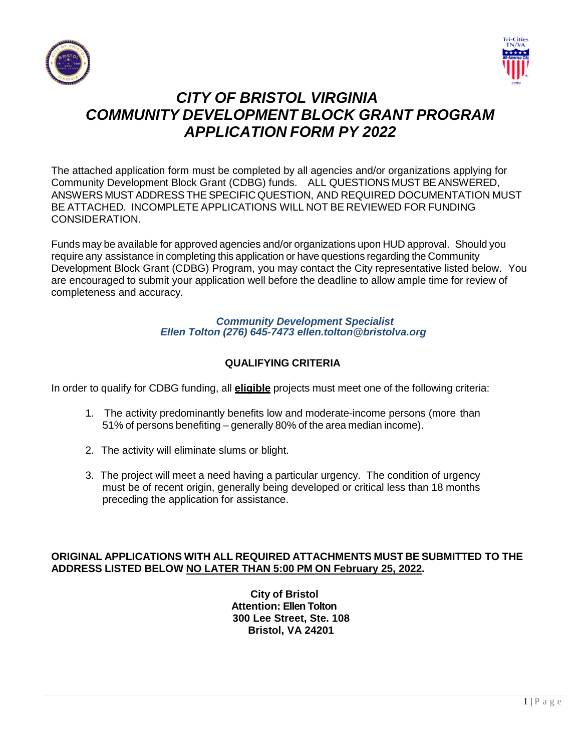



# *CITY OF BRISTOL VIRGINIA COMMUNITY DEVELOPMENT BLOCK GRANT PROGRAM APPLICATION FORM PY 2022*

The attached application form must be completed by all agencies and/or organizations applying for Community Development Block Grant (CDBG) funds. ALL QUESTIONS MUST BE ANSWERED, ANSWERS MUST ADDRESS THE SPECIFIC QUESTION, AND REQUIRED DOCUMENTATION MUST BE ATTACHED. INCOMPLETE APPLICATIONS WILL NOT BE REVIEWED FOR FUNDING CONSIDERATION.

Funds may be available for approved agencies and/or organizations upon HUD approval. Should you require any assistance in completing this application or have questions regarding the Community Development Block Grant (CDBG) Program, you may contact the City representative listed below. You are encouraged to submit your application well before the deadline to allow ample time for review of completeness and accuracy.

#### *Community Development Specialist Ellen Tolton (276) 645-7473 ellen.tolton@bristolva.org*

# **QUALIFYING CRITERIA**

In order to qualify for CDBG funding, all **eligible** projects must meet one of the following criteria:

- 1. The activity predominantly benefits low and moderate-income persons (more than 51% of persons benefiting – generally 80% of the area median income).
- 2. The activity will eliminate slums or blight.
- 3. The project will meet a need having a particular urgency. The condition of urgency must be of recent origin, generally being developed or critical less than 18 months preceding the application for assistance.

# **ORIGINAL APPLICATIONS WITH ALL REQUIRED ATTACHMENTS MUST BE SUBMITTED TO THE ADDRESS LISTED BELOW NO LATER THAN 5:00 PM ON February 25, 2022.**

**City of Bristol Attention: Ellen Tolton 300 Lee Street, Ste. 108 Bristol, VA 24201**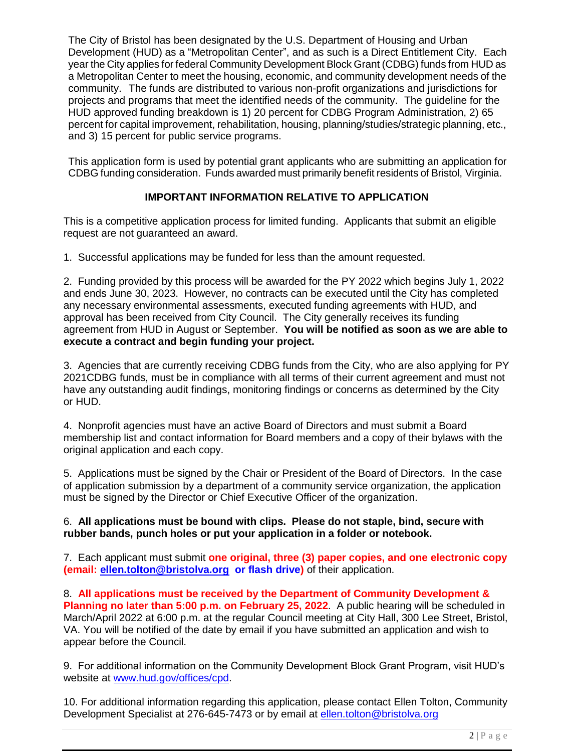The City of Bristol has been designated by the U.S. Department of Housing and Urban Development (HUD) as a "Metropolitan Center", and as such is a Direct Entitlement City. Each year the City applies for federal Community Development Block Grant (CDBG) funds from HUD as a Metropolitan Center to meet the housing, economic, and community development needs of the community. The funds are distributed to various non-profit organizations and jurisdictions for projects and programs that meet the identified needs of the community. The guideline for the HUD approved funding breakdown is 1) 20 percent for CDBG Program Administration, 2) 65 percent for capital improvement, rehabilitation, housing, planning/studies/strategic planning, etc., and 3) 15 percent for public service programs.

This application form is used by potential grant applicants who are submitting an application for CDBG funding consideration. Funds awarded must primarily benefit residents of Bristol, Virginia.

#### **IMPORTANT INFORMATION RELATIVE TO APPLICATION**

This is a competitive application process for limited funding. Applicants that submit an eligible request are not guaranteed an award.

1. Successful applications may be funded for less than the amount requested.

2. Funding provided by this process will be awarded for the PY 2022 which begins July 1, 2022 and ends June 30, 2023. However, no contracts can be executed until the City has completed any necessary environmental assessments, executed funding agreements with HUD, and approval has been received from City Council. The City generally receives its funding agreement from HUD in August or September. **You will be notified as soon as we are able to execute a contract and begin funding your project.**

3. Agencies that are currently receiving CDBG funds from the City, who are also applying for PY 2021CDBG funds, must be in compliance with all terms of their current agreement and must not have any outstanding audit findings, monitoring findings or concerns as determined by the City or HUD.

4. Nonprofit agencies must have an active Board of Directors and must submit a Board membership list and contact information for Board members and a copy of their bylaws with the original application and each copy.

5. Applications must be signed by the Chair or President of the Board of Directors. In the case of application submission by a department of a community service organization, the application must be signed by the Director or Chief Executive Officer of the organization.

#### 6. **All applications must be bound with clips. Please do not staple, bind, secure with rubber bands, punch holes or put your application in a folder or notebook.**

7. Each applicant must submit **one original, three (3) paper copies, and one electronic copy (email: [ellen.tolton@bristolva.org](mailto:ellen.tolton@bristolva.org) or flash drive)** of their application.

8. **All applications must be received by the Department of Community Development & Planning no later than 5:00 p.m. on February 25, 2022**. A public hearing will be scheduled in March/April 2022 at 6:00 p.m. at the regular Council meeting at City Hall, 300 Lee Street, Bristol, VA. You will be notified of the date by email if you have submitted an application and wish to appear before the Council.

9. For additional information on the Community Development Block Grant Program, visit HUD's website at [www.hud.gov/offices/cpd.](http://www.hud.gov/offices/cpd)

10. For additional information regarding this application, please contact Ellen Tolton, Community Development Specialist at 276-645-7473 or by email at [ellen.tolton@bristolva.org](mailto:ellen.tolton@bristolva.org)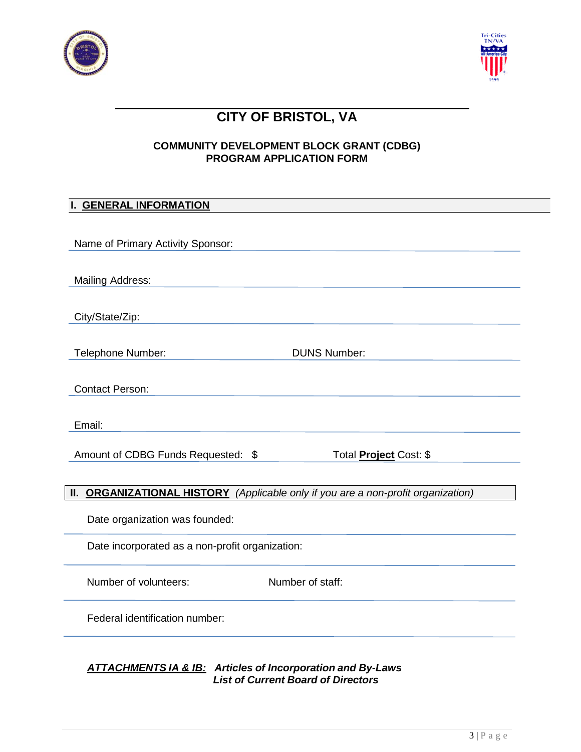



# **CITY OF BRISTOL, VA**

# **COMMUNITY DEVELOPMENT BLOCK GRANT (CDBG) PROGRAM APPLICATION FORM**

# **I. GENERAL INFORMATION**

| Name of Primary Activity Sponsor:                                                 |
|-----------------------------------------------------------------------------------|
| <b>Mailing Address:</b>                                                           |
| City/State/Zip:                                                                   |
| <b>DUNS Number:</b><br>Telephone Number:                                          |
| <b>Contact Person:</b>                                                            |
| Email:                                                                            |
| Amount of CDBG Funds Requested: \$<br>Total <b>Project</b> Cost: \$               |
| II. ORGANIZATIONAL HISTORY (Applicable only if you are a non-profit organization) |
| Date organization was founded:                                                    |
| Date incorporated as a non-profit organization:                                   |
| Number of volunteers:<br>Number of staff:                                         |
| Federal identification number:                                                    |
|                                                                                   |

*ATTACHMENTS IA & IB: Articles of Incorporation and By-Laws List of Current Board of Directors*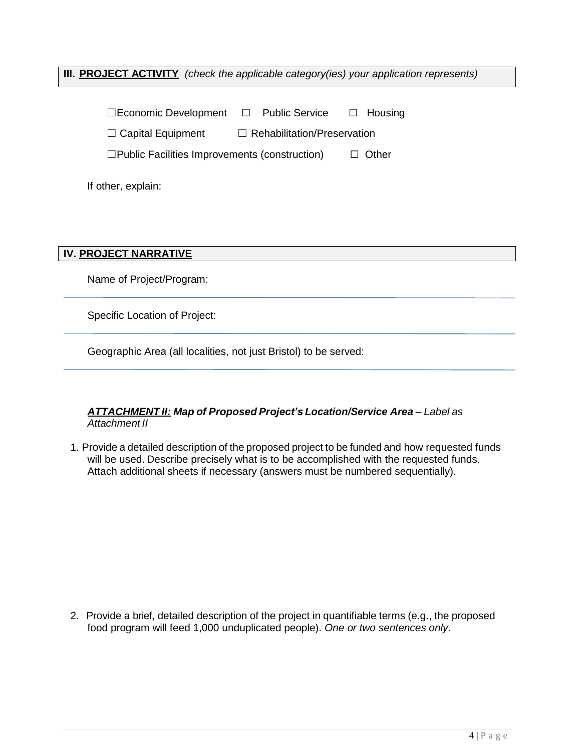**III. PROJECT ACTIVITY** *(check the applicable category(ies) your application represents)*

| $\Box$ Economic Development $\Box$ Public Service       |  |                                    | $\Box$ Housing |
|---------------------------------------------------------|--|------------------------------------|----------------|
| $\Box$ Capital Equipment                                |  | $\Box$ Rehabilitation/Preservation |                |
| $\square$ Public Facilities Improvements (construction) |  |                                    | $\Box$ Other   |

If other, explain:

**IV. PROJECT NARRATIVE**

Name of Project/Program:

Specific Location of Project:

Geographic Area (all localities, not just Bristol) to be served:

# *ATTACHMENT II: Map of Proposed Project's Location/Service Area – Label as Attachment II*

1. Provide a detailed description of the proposed project to be funded and how requested funds will be used. Describe precisely what is to be accomplished with the requested funds. Attach additional sheets if necessary (answers must be numbered sequentially).

2. Provide a brief, detailed description of the project in quantifiable terms (e.g., the proposed food program will feed 1,000 unduplicated people). *One or two sentences only*.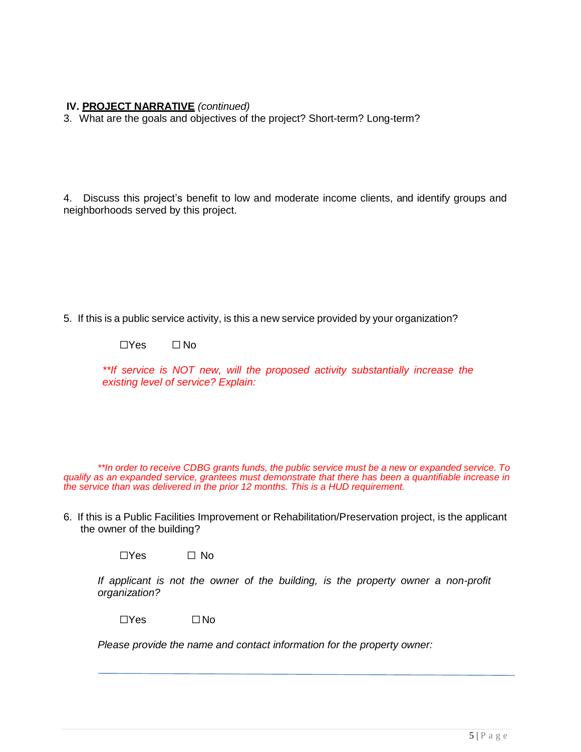## **IV. PROJECT NARRATIVE** *(continued)*

3. What are the goals and objectives of the project? Short-term? Long-term?

4. Discuss this project's benefit to low and moderate income clients, and identify groups and neighborhoods served by this project.

5. If this is a public service activity, is this a new service provided by your organization?

☐Yes ☐ No

*\*\*If service is NOT new, will the proposed activity substantially increase the existing level of service? Explain:*

*\*\*In order to receive CDBG grants funds, the public service must be a new or expanded service. To qualify as an expanded service, grantees must demonstrate that there has been a quantifiable increase in the service than was delivered in the prior 12 months. This is a HUD requirement.*

6. If this is a Public Facilities Improvement or Rehabilitation/Preservation project, is the applicant the owner of the building?

 $\Box$ Yes  $\Box$  No

*If applicant is not the owner of the building, is the property owner a non-profit organization?*

☐Yes ☐No

*Please provide the name and contact information for the property owner:*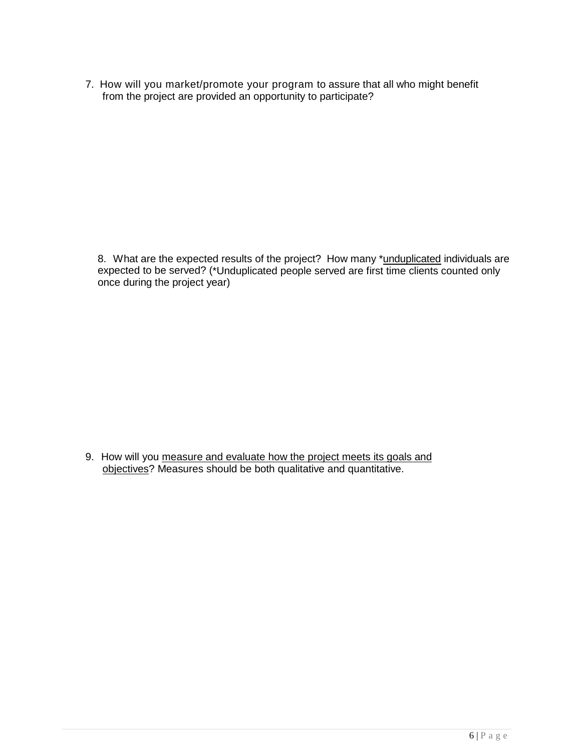7. How will you market/promote your program to assure that all who might benefit from the project are provided an opportunity to participate?

8. What are the expected results of the project? How many \*unduplicated individuals are expected to be served? (\*Unduplicated people served are first time clients counted only once during the project year)

9. How will you measure and evaluate how the project meets its goals and objectives? Measures should be both qualitative and quantitative.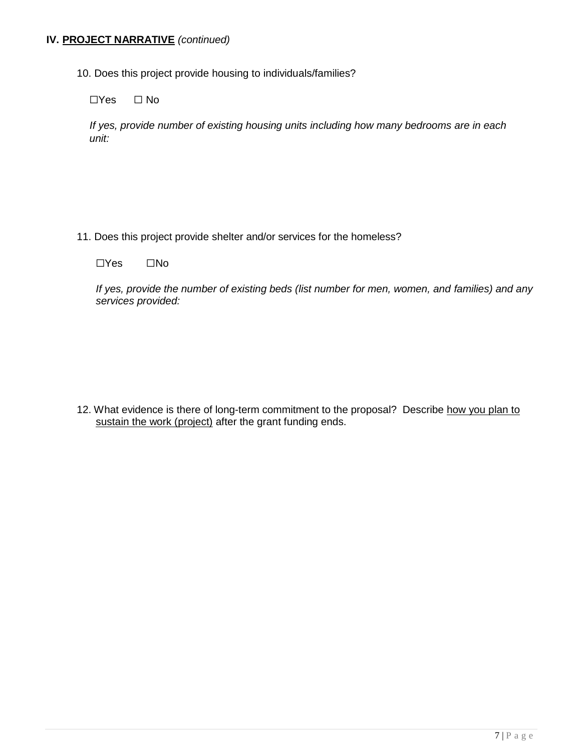## **IV. PROJECT NARRATIVE** *(continued)*

10. Does this project provide housing to individuals/families?

☐Yes ☐ No

*If yes, provide number of existing housing units including how many bedrooms are in each unit:*

- 11. Does this project provide shelter and/or services for the homeless?
	- ☐Yes ☐No

*If yes, provide the number of existing beds (list number for men, women, and families) and any services provided:*

12. What evidence is there of long-term commitment to the proposal? Describe how you plan to sustain the work (project) after the grant funding ends.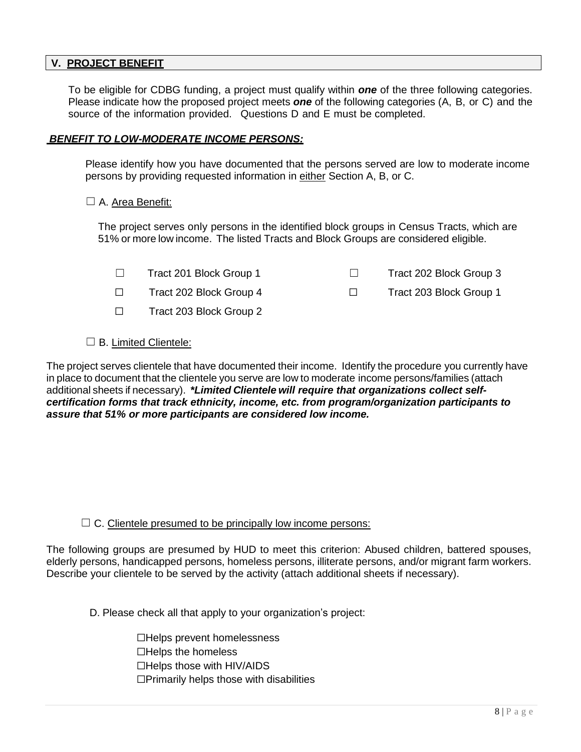#### **V. PROJECT BENEFIT**

To be eligible for CDBG funding, a project must qualify within *one* of the three following categories. Please indicate how the proposed project meets *one* of the following categories (A, B, or C) and the source of the information provided. Questions D and E must be completed.

#### *BENEFIT TO LOW-MODERATE INCOME PERSONS:*

Please identify how you have documented that the persons served are low to moderate income persons by providing requested information in either Section A, B, or C.

#### □ A. Area Benefit:

The project serves only persons in the identified block groups in Census Tracts, which are 51% or more low income. The listed Tracts and Block Groups are considered eligible.

- ☐ Tract 201 Block Group 1 ☐ Tract 202 Block Group 3
- ☐ Tract 202 Block Group 4 ☐ Tract 203 Block Group 1
- ☐ Tract 203 Block Group 2
- □ B. Limited Clientele:

The project serves clientele that have documented their income. Identify the procedure you currently have in place to document that the clientele you serve are low to moderate income persons/families (attach additional sheets if necessary). *\*Limited Clientele will require that organizations collect selfcertification forms that track ethnicity, income, etc. from program/organization participants to assure that 51% or more participants are considered low income.*

#### $\Box$  C. Clientele presumed to be principally low income persons:

The following groups are presumed by HUD to meet this criterion: Abused children, battered spouses, elderly persons, handicapped persons, homeless persons, illiterate persons, and/or migrant farm workers. Describe your clientele to be served by the activity (attach additional sheets if necessary).

D. Please check all that apply to your organization's project:

☐Helps prevent homelessness ☐Helps the homeless ☐Helps those with HIV/AIDS ☐Primarily helps those with disabilities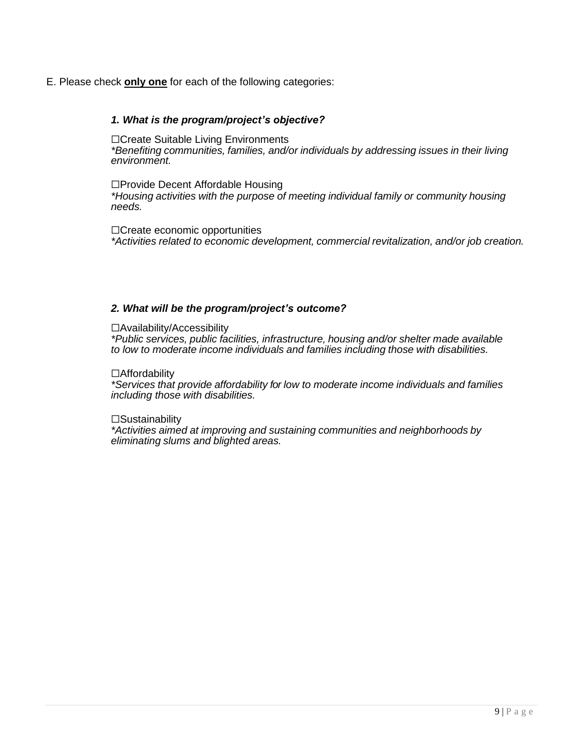#### E. Please check **only one** for each of the following categories:

#### *1. What is the program/project's objective?*

☐Create Suitable Living Environments *\*Benefiting communities, families, and/or individuals by addressing issues in their living environment.*

☐Provide Decent Affordable Housing *\*Housing activities with the purpose of meeting individual family or community housing needs.*

☐Create economic opportunities *\*Activities related to economic development, commercial revitalization, and/or job creation.*

#### *2. What will be the program/project's outcome?*

☐Availability/Accessibility

*\*Public services, public facilities, infrastructure, housing and/or shelter made available to low to moderate income individuals and families including those with disabilities.*

☐Affordability

*\*Services that provide affordability for low to moderate income individuals and families including those with disabilities.*

#### $\square$ Sustainability

*\*Activities aimed at improving and sustaining communities and neighborhoods by eliminating slums and blighted areas.*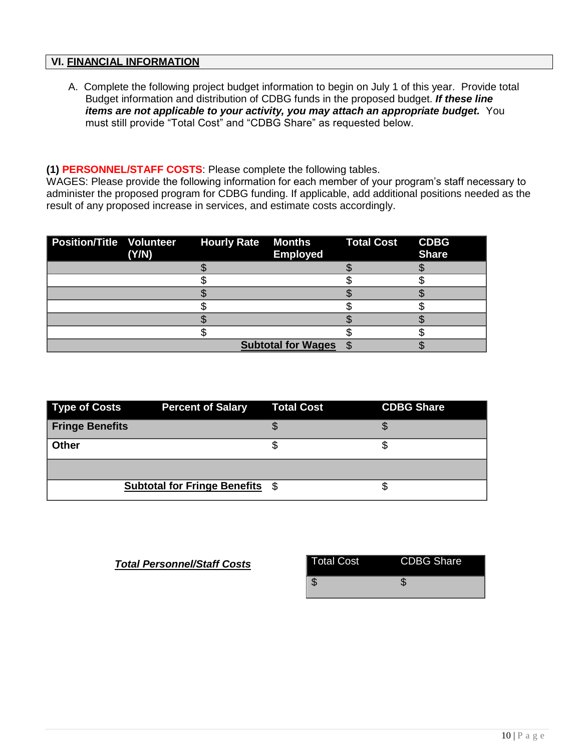# **VI. FINANCIAL INFORMATION**

A. Complete the following project budget information to begin on July 1 of this year. Provide total Budget information and distribution of CDBG funds in the proposed budget. *If these line items are not applicable to your activity, you may attach an appropriate budget.* You must still provide "Total Cost" and "CDBG Share" as requested below.

#### **(1) PERSONNEL/STAFF COSTS**: Please complete the following tables.

WAGES: Please provide the following information for each member of your program's staff necessary to administer the proposed program for CDBG funding. If applicable, add additional positions needed as the result of any proposed increase in services, and estimate costs accordingly.

| Position/Title Volunteer Hourly Rate | (Y/N) | <b>Months Total Cost</b><br><b>Employed</b> | <b>CDBG</b><br><b>Share</b> |
|--------------------------------------|-------|---------------------------------------------|-----------------------------|
|                                      |       |                                             |                             |
|                                      |       |                                             |                             |
|                                      |       |                                             |                             |
|                                      |       |                                             |                             |
|                                      |       |                                             |                             |
|                                      |       |                                             |                             |
|                                      |       | <b>Subtotal for Wages</b>                   |                             |

| Type of Costs          | <b>Percent of Salary Total Cost</b>    | <b>CDBG Share</b> |
|------------------------|----------------------------------------|-------------------|
| <b>Fringe Benefits</b> |                                        |                   |
| <b>Other</b>           |                                        |                   |
|                        |                                        |                   |
|                        | <b>Subtotal for Fringe Benefits \$</b> |                   |

**Total Personnel/Staff Costs** 

| Total Cost | <b>CDBG Share</b> |
|------------|-------------------|
|            |                   |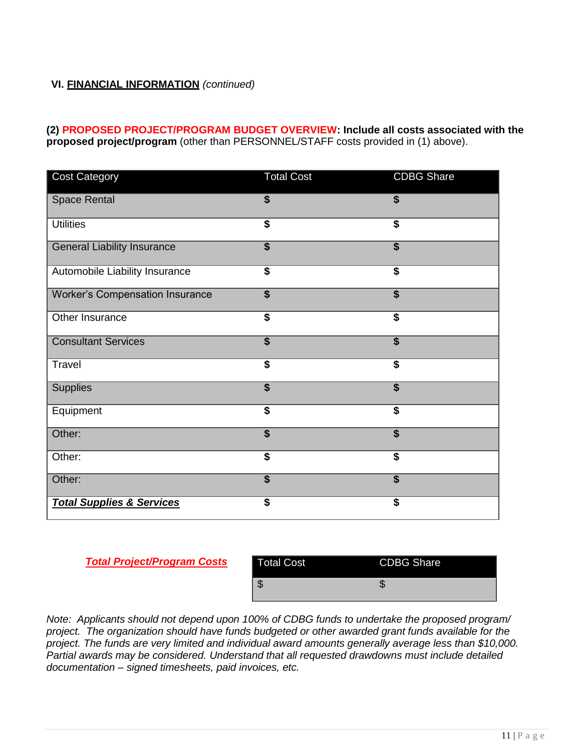# **VI. FINANCIAL INFORMATION** *(continued)*

**(2) PROPOSED PROJECT/PROGRAM BUDGET OVERVIEW: Include all costs associated with the proposed project/program** (other than PERSONNEL/STAFF costs provided in (1) above).

| <b>Cost Category</b>                   | <b>Total Cost</b>       | <b>CDBG Share</b>                    |
|----------------------------------------|-------------------------|--------------------------------------|
| <b>Space Rental</b>                    | \$                      | $\overline{\mathbf{s}}$              |
| <b>Utilities</b>                       | $\overline{\$}$         | $\overline{\$}$                      |
| <b>General Liability Insurance</b>     | $\overline{\mathbf{s}}$ | $\overline{\mathbf{s}}$              |
| Automobile Liability Insurance         | $\overline{\$}$         | $\overline{\$}$                      |
| <b>Worker's Compensation Insurance</b> | $\overline{\mathbf{s}}$ | $\overline{\$}$                      |
| Other Insurance                        | $\overline{\$}$         | $\overline{\mathbf{s}}$              |
| <b>Consultant Services</b>             | $\overline{\$}$         | $\overline{\mathbf{s}}$              |
| Travel                                 | $\overline{\$}$         | $\overline{\$}$                      |
| <b>Supplies</b>                        | $\overline{\mathbf{s}}$ | $\overline{\boldsymbol{\mathsf{s}}}$ |
| Equipment                              | $\overline{\$}$         | $\overline{\$}$                      |
| Other:                                 | $\overline{\mathbf{s}}$ | $\overline{\boldsymbol{\mathsf{s}}}$ |
| Other:                                 | \$                      | $\overline{\$}$                      |
| Other:                                 | $\overline{\mathbf{s}}$ | $\overline{\mathbf{s}}$              |
| <b>Total Supplies &amp; Services</b>   | \$                      | \$                                   |

*Total Project/Program Costs*

| Total Cost | <b>CDBG Share</b> |
|------------|-------------------|
|            |                   |

*Note: Applicants should not depend upon 100% of CDBG funds to undertake the proposed program/ project. The organization should have funds budgeted or other awarded grant funds available for the project. The funds are very limited and individual award amounts generally average less than \$10,000. Partial awards may be considered. Understand that all requested drawdowns must include detailed documentation – signed timesheets, paid invoices, etc.*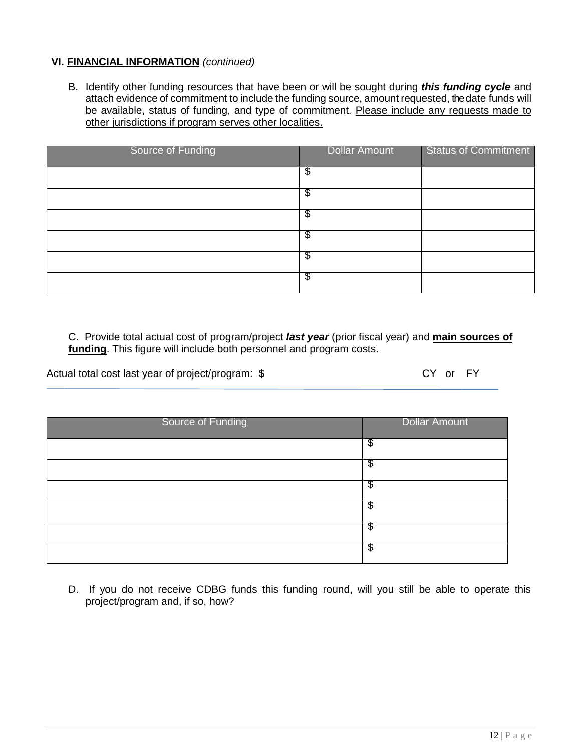#### **VI. FINANCIAL INFORMATION** *(continued)*

B. Identify other funding resources that have been or will be sought during *this funding cycle* and attach evidence of commitment to include the funding source, amount requested, the date funds will be available, status of funding, and type of commitment. Please include any requests made to other jurisdictions if program serves other localities.

| Source of Funding | Dollar Amount | <b>Status of Commitment</b> |
|-------------------|---------------|-----------------------------|
|                   | Φ             |                             |
|                   | Φ             |                             |
|                   | \$            |                             |
|                   | \$            |                             |
|                   | \$            |                             |
|                   | Φ             |                             |

C. Provide total actual cost of program/project *last year* (prior fiscal year) and **main sources of funding**. This figure will include both personnel and program costs.

Actual total cost last year of project/program: \$ CY or FY

| Source of Funding | <b>Dollar Amount</b> |
|-------------------|----------------------|
|                   | \$                   |
|                   | \$                   |
|                   | \$                   |
|                   | \$                   |
|                   | \$                   |
|                   | \$                   |

D. If you do not receive CDBG funds this funding round, will you still be able to operate this project/program and, if so, how?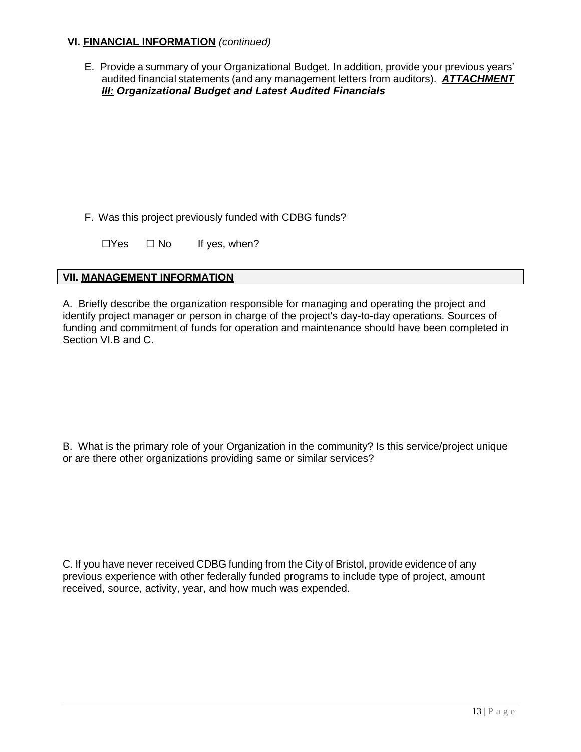## **VI. FINANCIAL INFORMATION** *(continued)*

E. Provide a summary of your Organizational Budget. In addition, provide your previous years' audited financial statements (and any management letters from auditors). *ATTACHMENT III: Organizational Budget and Latest Audited Financials*

F. Was this project previously funded with CDBG funds?

 $\Box$ Yes  $\Box$  No If yes, when?

# **VII. MANAGEMENT INFORMATION**

A. Briefly describe the organization responsible for managing and operating the project and identify project manager or person in charge of the project's day-to-day operations. Sources of funding and commitment of funds for operation and maintenance should have been completed in Section VI.B and C.

B. What is the primary role of your Organization in the community? Is this service/project unique or are there other organizations providing same or similar services?

C. If you have never received CDBG funding from the City of Bristol, provide evidence of any previous experience with other federally funded programs to include type of project, amount received, source, activity, year, and how much was expended.